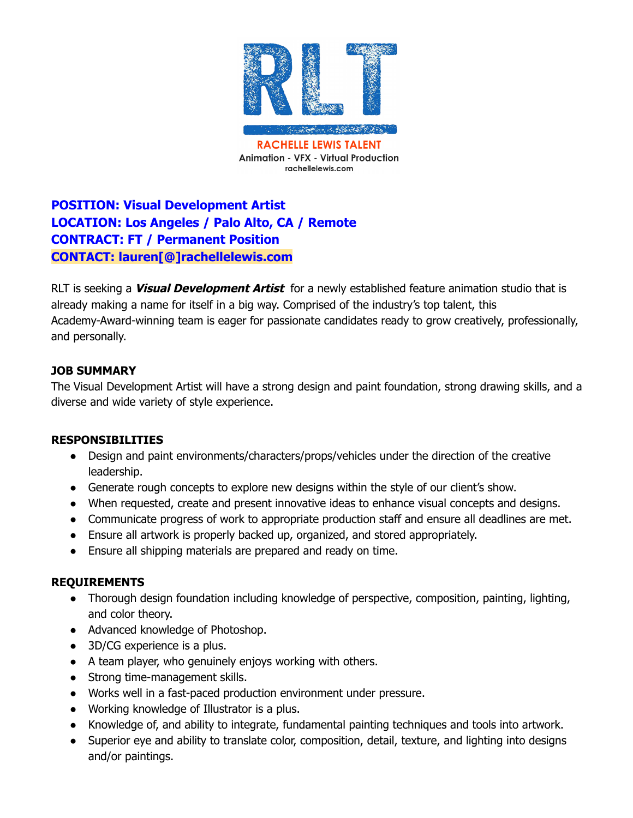

**Animation - VFX - Virtual Production** rachellelewis.com

**POSITION: Visual Development Artist LOCATION: Los Angeles / Palo Alto, CA / Remote CONTRACT: FT / Permanent Position CONTACT: lauren[@]rachellelewis.com**

RLT is seeking a **Visual Development Artist** for a newly established feature animation studio that is already making a name for itself in a big way. Comprised of the industry's top talent, this Academy-Award-winning team is eager for passionate candidates ready to grow creatively, professionally, and personally.

## **JOB SUMMARY**

The Visual Development Artist will have a strong design and paint foundation, strong drawing skills, and a diverse and wide variety of style experience.

## **RESPONSIBILITIES**

- Design and paint environments/characters/props/vehicles under the direction of the creative leadership.
- Generate rough concepts to explore new designs within the style of our client's show.
- When requested, create and present innovative ideas to enhance visual concepts and designs.
- Communicate progress of work to appropriate production staff and ensure all deadlines are met.
- Ensure all artwork is properly backed up, organized, and stored appropriately.
- Ensure all shipping materials are prepared and ready on time.

## **REQUIREMENTS**

- Thorough design foundation including knowledge of perspective, composition, painting, lighting, and color theory.
- Advanced knowledge of Photoshop.
- 3D/CG experience is a plus.
- A team player, who genuinely enjoys working with others.
- Strong time-management skills.
- Works well in a fast-paced production environment under pressure.
- Working knowledge of Illustrator is a plus.
- Knowledge of, and ability to integrate, fundamental painting techniques and tools into artwork.
- Superior eye and ability to translate color, composition, detail, texture, and lighting into designs and/or paintings.